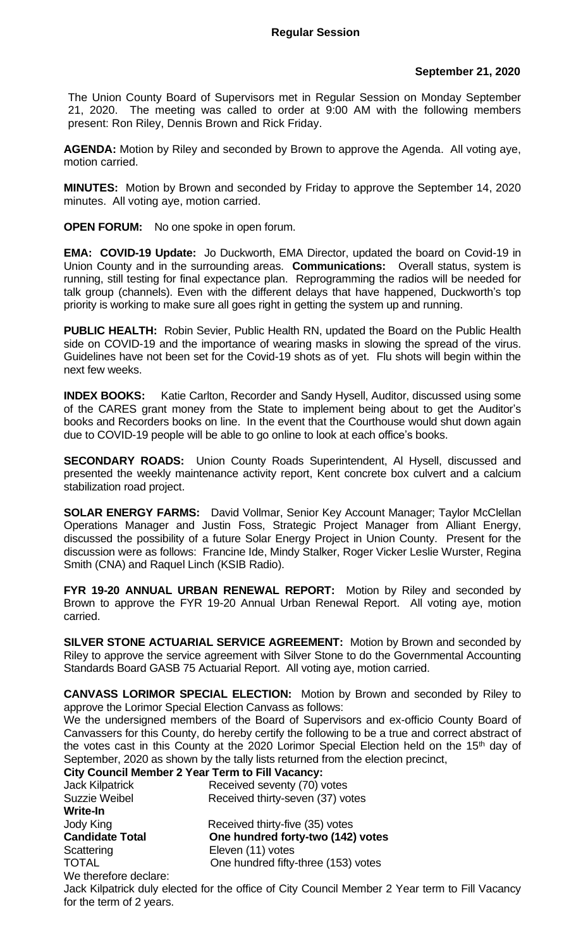## **September 21, 2020**

The Union County Board of Supervisors met in Regular Session on Monday September 21, 2020. The meeting was called to order at 9:00 AM with the following members present: Ron Riley, Dennis Brown and Rick Friday.

**AGENDA:** Motion by Riley and seconded by Brown to approve the Agenda. All voting aye, motion carried.

**MINUTES:** Motion by Brown and seconded by Friday to approve the September 14, 2020 minutes. All voting aye, motion carried.

**OPEN FORUM:** No one spoke in open forum.

**EMA: COVID-19 Update:** Jo Duckworth, EMA Director, updated the board on Covid-19 in Union County and in the surrounding areas. **Communications:** Overall status, system is running, still testing for final expectance plan. Reprogramming the radios will be needed for talk group (channels). Even with the different delays that have happened, Duckworth's top priority is working to make sure all goes right in getting the system up and running.

**PUBLIC HEALTH:** Robin Sevier, Public Health RN, updated the Board on the Public Health side on COVID-19 and the importance of wearing masks in slowing the spread of the virus. Guidelines have not been set for the Covid-19 shots as of yet. Flu shots will begin within the next few weeks.

**INDEX BOOKS:** Katie Carlton, Recorder and Sandy Hysell, Auditor, discussed using some of the CARES grant money from the State to implement being about to get the Auditor's books and Recorders books on line. In the event that the Courthouse would shut down again due to COVID-19 people will be able to go online to look at each office's books.

**SECONDARY ROADS:** Union County Roads Superintendent, Al Hysell, discussed and presented the weekly maintenance activity report, Kent concrete box culvert and a calcium stabilization road project.

**SOLAR ENERGY FARMS:** David Vollmar, Senior Key Account Manager; Taylor McClellan Operations Manager and Justin Foss, Strategic Project Manager from Alliant Energy, discussed the possibility of a future Solar Energy Project in Union County. Present for the discussion were as follows: Francine Ide, Mindy Stalker, Roger Vicker Leslie Wurster, Regina Smith (CNA) and Raquel Linch (KSIB Radio).

**FYR 19-20 ANNUAL URBAN RENEWAL REPORT:** Motion by Riley and seconded by Brown to approve the FYR 19-20 Annual Urban Renewal Report. All voting aye, motion carried.

**SILVER STONE ACTUARIAL SERVICE AGREEMENT:** Motion by Brown and seconded by Riley to approve the service agreement with Silver Stone to do the Governmental Accounting Standards Board GASB 75 Actuarial Report. All voting aye, motion carried.

**CANVASS LORIMOR SPECIAL ELECTION:** Motion by Brown and seconded by Riley to approve the Lorimor Special Election Canvass as follows:

We the undersigned members of the Board of Supervisors and ex-officio County Board of Canvassers for this County, do hereby certify the following to be a true and correct abstract of the votes cast in this County at the 2020 Lorimor Special Election held on the  $15<sup>th</sup>$  day of September, 2020 as shown by the tally lists returned from the election precinct,

**City Council Member 2 Year Term to Fill Vacancy:**  Jack Kilpatrick Received seventy (70) votes Suzzie Weibel **Received thirty-seven (37)** votes **Write-In** Jody King **Received thirty-five (35)** votes **Candidate Total One hundred forty-two (142) votes**  Scattering Eleven (11) votes TOTAL **COREGO** One hundred fifty-three (153) votes We therefore declare:

Jack Kilpatrick duly elected for the office of City Council Member 2 Year term to Fill Vacancy for the term of 2 years.